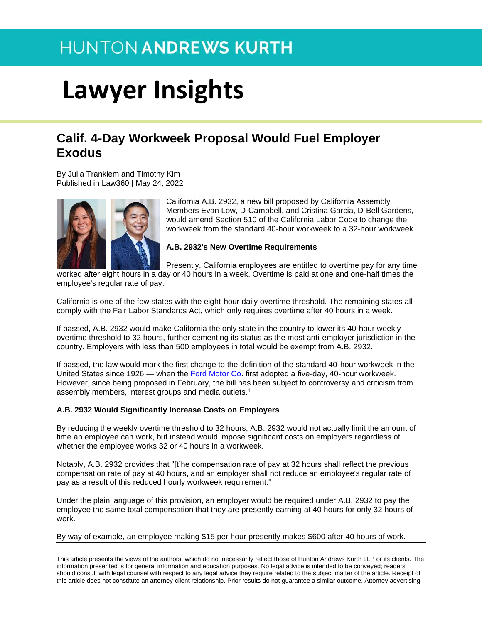# **Lawyer Insights**

### **Calif. 4-Day Workweek Proposal Would Fuel Employer Exodus**

By Julia Trankiem and Timothy Kim Published in Law360 | May 24, 2022



California A.B. 2932, a new bill proposed by California Assembly Members Evan Low, D-Campbell, and Cristina Garcia, D-Bell Gardens, would amend Section 510 of the California Labor Code to change the workweek from the standard 40-hour workweek to a 32-hour workweek.

#### **A.B. 2932's New Overtime Requirements**

Presently, California employees are entitled to overtime pay for any time

worked after eight hours in a day or 40 hours in a week. Overtime is paid at one and one-half times the employee's regular rate of pay.

California is one of the few states with the eight-hour daily overtime threshold. The remaining states all comply with the Fair Labor Standards Act, which only requires overtime after 40 hours in a week.

If passed, A.B. 2932 would make California the only state in the country to lower its 40-hour weekly overtime threshold to 32 hours, further cementing its status as the most anti-employer jurisdiction in the country. Employers with less than 500 employees in total would be exempt from A.B. 2932.

If passed, the law would mark the first change to the definition of the standard 40-hour workweek in the United States since 1926 — when the [Ford Motor Co.](https://www.law360.com/companies/ford-motor-co) first adopted a five-day, 40-hour workweek. However, since being proposed in February, the bill has been subject to controversy and criticism from assembly members, interest groups and media outlets.<sup>1</sup>

#### **A.B. 2932 Would Significantly Increase Costs on Employers**

By reducing the weekly overtime threshold to 32 hours, A.B. 2932 would not actually limit the amount of time an employee can work, but instead would impose significant costs on employers regardless of whether the employee works 32 or 40 hours in a workweek.

Notably, A.B. 2932 provides that "[t]he compensation rate of pay at 32 hours shall reflect the previous compensation rate of pay at 40 hours, and an employer shall not reduce an employee's regular rate of pay as a result of this reduced hourly workweek requirement."

Under the plain language of this provision, an employer would be required under A.B. 2932 to pay the employee the same total compensation that they are presently earning at 40 hours for only 32 hours of work.

By way of example, an employee making \$15 per hour presently makes \$600 after 40 hours of work.

This article presents the views of the authors, which do not necessarily reflect those of Hunton Andrews Kurth LLP or its clients. The information presented is for general information and education purposes. No legal advice is intended to be conveyed; readers should consult with legal counsel with respect to any legal advice they require related to the subject matter of the article. Receipt of this article does not constitute an attorney-client relationship. Prior results do not guarantee a similar outcome. Attorney advertising.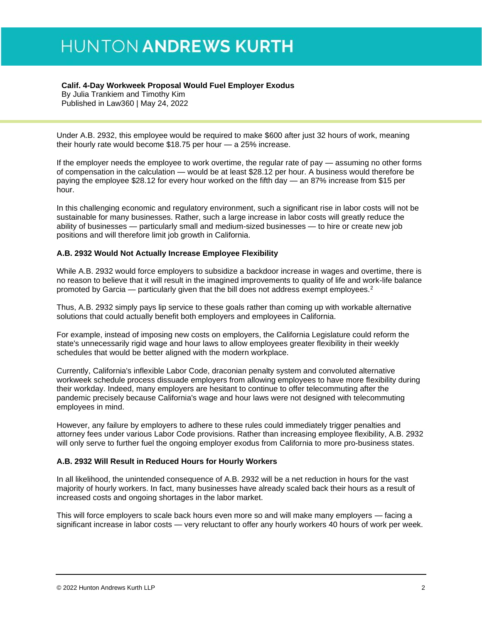#### **Calif. 4-Day Workweek Proposal Would Fuel Employer Exodus**

By Julia Trankiem and Timothy Kim Published in Law360 | May 24, 2022

Under A.B. 2932, this employee would be required to make \$600 after just 32 hours of work, meaning their hourly rate would become \$18.75 per hour — a 25% increase.

If the employer needs the employee to work overtime, the regular rate of pay — assuming no other forms of compensation in the calculation — would be at least \$28.12 per hour. A business would therefore be paying the employee \$28.12 for every hour worked on the fifth day — an 87% increase from \$15 per hour.

In this challenging economic and regulatory environment, such a significant rise in labor costs will not be sustainable for many businesses. Rather, such a large increase in labor costs will greatly reduce the ability of businesses — particularly small and medium-sized businesses — to hire or create new job positions and will therefore limit job growth in California.

#### **A.B. 2932 Would Not Actually Increase Employee Flexibility**

While A.B. 2932 would force employers to subsidize a backdoor increase in wages and overtime, there is no reason to believe that it will result in the imagined improvements to quality of life and work-life balance promoted by Garcia — particularly given that the bill does not address exempt employees.<sup>2</sup>

Thus, A.B. 2932 simply pays lip service to these goals rather than coming up with workable alternative solutions that could actually benefit both employers and employees in California.

For example, instead of imposing new costs on employers, the California Legislature could reform the state's unnecessarily rigid wage and hour laws to allow employees greater flexibility in their weekly schedules that would be better aligned with the modern workplace.

Currently, California's inflexible Labor Code, draconian penalty system and convoluted alternative workweek schedule process dissuade employers from allowing employees to have more flexibility during their workday. Indeed, many employers are hesitant to continue to offer telecommuting after the pandemic precisely because California's wage and hour laws were not designed with telecommuting employees in mind.

However, any failure by employers to adhere to these rules could immediately trigger penalties and attorney fees under various Labor Code provisions. Rather than increasing employee flexibility, A.B. 2932 will only serve to further fuel the ongoing employer exodus from California to more pro-business states.

#### **A.B. 2932 Will Result in Reduced Hours for Hourly Workers**

In all likelihood, the unintended consequence of A.B. 2932 will be a net reduction in hours for the vast majority of hourly workers. In fact, many businesses have already scaled back their hours as a result of increased costs and ongoing shortages in the labor market.

This will force employers to scale back hours even more so and will make many employers — facing a significant increase in labor costs — very reluctant to offer any hourly workers 40 hours of work per week.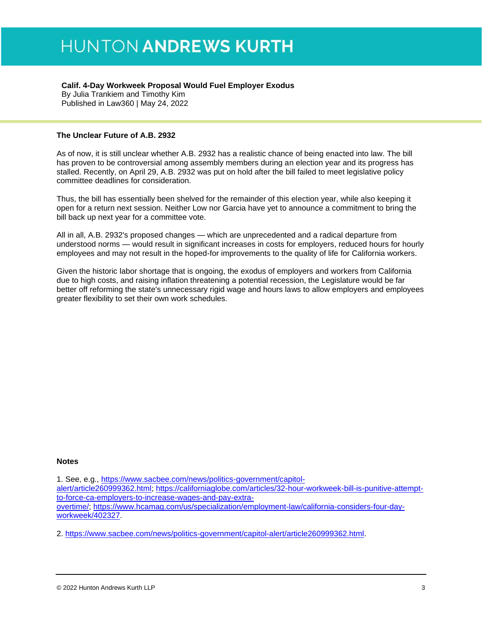#### **Calif. 4-Day Workweek Proposal Would Fuel Employer Exodus**

By Julia Trankiem and Timothy Kim Published in Law360 | May 24, 2022

#### **The Unclear Future of A.B. 2932**

As of now, it is still unclear whether A.B. 2932 has a realistic chance of being enacted into law. The bill has proven to be controversial among assembly members during an election year and its progress has stalled. Recently, on April 29, A.B. 2932 was put on hold after the bill failed to meet legislative policy committee deadlines for consideration.

Thus, the bill has essentially been shelved for the remainder of this election year, while also keeping it open for a return next session. Neither Low nor Garcia have yet to announce a commitment to bring the bill back up next year for a committee vote.

All in all, A.B. 2932's proposed changes — which are unprecedented and a radical departure from understood norms — would result in significant increases in costs for employers, reduced hours for hourly employees and may not result in the hoped-for improvements to the quality of life for California workers.

Given the historic labor shortage that is ongoing, the exodus of employers and workers from California due to high costs, and raising inflation threatening a potential recession, the Legislature would be far better off reforming the state's unnecessary rigid wage and hours laws to allow employers and employees greater flexibility to set their own work schedules.

#### **Notes**

1. See, e.g., [https://www.sacbee.com/news/politics-government/capitol](https://www.sacbee.com/news/politics-government/capitol-alert/article260999362.html)[alert/article260999362.html;](https://www.sacbee.com/news/politics-government/capitol-alert/article260999362.html) [https://californiaglobe.com/articles/32-hour-workweek-bill-is-punitive-attempt](https://californiaglobe.com/articles/32-hour-workweek-bill-is-punitive-attempt-to-force-ca-employers-to-increase-wages-and-pay-extra-overtime/)[to-force-ca-employers-to-increase-wages-and-pay-extra](https://californiaglobe.com/articles/32-hour-workweek-bill-is-punitive-attempt-to-force-ca-employers-to-increase-wages-and-pay-extra-overtime/)[overtime/;](https://californiaglobe.com/articles/32-hour-workweek-bill-is-punitive-attempt-to-force-ca-employers-to-increase-wages-and-pay-extra-overtime/) [https://www.hcamag.com/us/specialization/employment-law/california-considers-four-day](https://www.hcamag.com/us/specialization/employment-law/california-considers-four-day-workweek/402327)[workweek/402327.](https://www.hcamag.com/us/specialization/employment-law/california-considers-four-day-workweek/402327)

2. [https://www.sacbee.com/news/politics-government/capitol-alert/article260999362.html.](https://www.sacbee.com/news/politics-government/capitol-alert/article260999362.html)